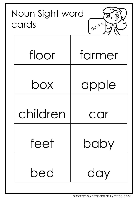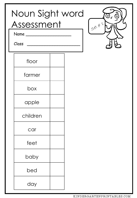| Noun Sight word<br>Assessment<br>Name<br>Class | $\left( 0\right)$<br>$\frac{1}{5}$ |
|------------------------------------------------|------------------------------------|
| floor                                          |                                    |
| farmer                                         |                                    |
| box                                            |                                    |
| apple                                          |                                    |
| children                                       |                                    |
| car                                            |                                    |
| feet                                           |                                    |
| baby                                           |                                    |
| bed                                            |                                    |
| day                                            |                                    |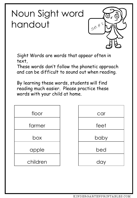

Sight Words are words that appear often in text,

These words don't follow the phonetic approach and can be difficult to sound out when reading.



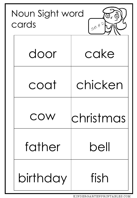| Noun Sight word<br>cards | $50x + 21$ |
|--------------------------|------------|
| door                     | cake       |
| coat                     | chicken    |
|                          | CNIISTMIUS |
| father                   | $be$ ll    |
| birthday                 | fish       |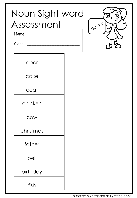| Noun Sight word<br>Assessment<br>Name<br>Class |  | $\frac{1}{58}$ | $\circledcirc$<br>$\left( 0 \right)$ |
|------------------------------------------------|--|----------------|--------------------------------------|
| door                                           |  |                |                                      |
| cake                                           |  |                |                                      |
| coat                                           |  |                |                                      |
| chicken                                        |  |                |                                      |
| COW                                            |  |                |                                      |
| christmas                                      |  |                |                                      |
| father                                         |  |                |                                      |
| bell                                           |  |                |                                      |
| birthday                                       |  |                |                                      |
| fish                                           |  |                |                                      |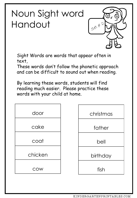

Sight Words are words that appear often in text,

These words don't follow the phonetic approach and can be difficult to sound out when reading.

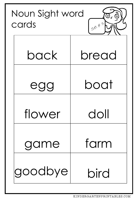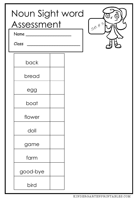| Noun Sight word<br>Assessment<br>Name_<br>Class |  | $\frac{1}{58}$ | (⊚)<br>0 |
|-------------------------------------------------|--|----------------|----------|
| back                                            |  |                |          |
| bread                                           |  |                |          |
| egg                                             |  |                |          |
| boat                                            |  |                |          |
| flower                                          |  |                |          |
| doll                                            |  |                |          |
| game                                            |  |                |          |
| farm                                            |  |                |          |
| good-bye                                        |  |                |          |
| bird                                            |  |                |          |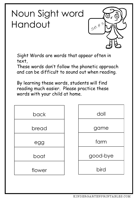

Sight Words are words that appear often in text,

These words don't follow the phonetic approach and can be difficult to sound out when reading.

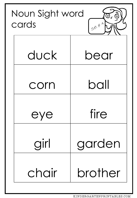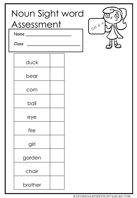| Noun Sight word<br>Assessment<br>Name<br>Class | <u>(٥)</u><br>$\left[ \text{o} \right]$<br>$\frac{1}{5}$ |
|------------------------------------------------|----------------------------------------------------------|
| duck                                           |                                                          |
| bear                                           |                                                          |
| corn                                           |                                                          |
| ball                                           |                                                          |
| eye                                            |                                                          |
| fire                                           |                                                          |
| girl                                           |                                                          |
| garden                                         |                                                          |
| chair                                          |                                                          |
| brother                                        |                                                          |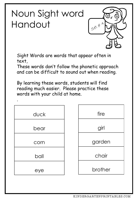

Sight Words are words that appear often in text,

These words don't follow the phonetic approach and can be difficult to sound out when reading.

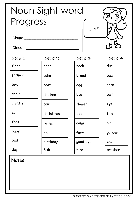| Noun Sight word |            |          |                                 |  |
|-----------------|------------|----------|---------------------------------|--|
| Progress        |            |          | $\overline{\omega}_\mathcal{C}$ |  |
| Name<br>Class   |            | HOUM     |                                 |  |
| Set#1           | Set#2      | Set#3    | Set #4                          |  |
| floor           | door       | back     | duck                            |  |
| farmer          | cake       | bread    | bear                            |  |
| box             | coat       | egg      | corn                            |  |
| apple           | chicken    | boat     | ball                            |  |
| children        | <b>COW</b> | flower   | eye                             |  |
| car             | christmas  | doll     | fire                            |  |
| feet            | father     | game     | girl                            |  |
| baby            | bell       | farm     | garden                          |  |
| bed             | birthday   | good-bye | chair                           |  |
| day             | fish       | bird     | brother                         |  |

Notes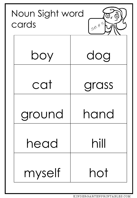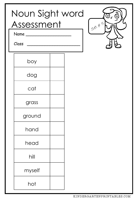| Noun Sight word<br>Assessment<br>Name<br>Class |  | $\frac{1}{58}$ | <u>(၀)</u><br>$\left( 0\right)$ |
|------------------------------------------------|--|----------------|---------------------------------|
| boy                                            |  |                |                                 |
| dog                                            |  |                |                                 |
| cat                                            |  |                |                                 |
| grass                                          |  |                |                                 |
| ground                                         |  |                |                                 |
| hand                                           |  |                |                                 |
| head                                           |  |                |                                 |
| hill                                           |  |                |                                 |
| myself                                         |  |                |                                 |
| hot                                            |  |                |                                 |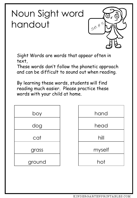

Sight Words are words that appear often in text,

These words don't follow the phonetic approach and can be difficult to sound out when reading.



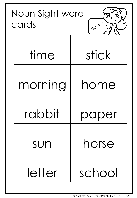| Noun Sight word<br>cards | $\left[ 0 \right]$<br>$50+6$ |
|--------------------------|------------------------------|
| time                     | stick                        |
| morning                  | home                         |
| rabbit                   | aper                         |
| SUN                      | horse                        |
| letter                   | school                       |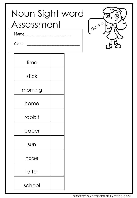| Noun Sight word<br>Assessment<br>Name<br>Class |  | $\boxed{\mathrm{o}}$<br>(၀)<br>$90x*61$ |
|------------------------------------------------|--|-----------------------------------------|
| time                                           |  |                                         |
| stick                                          |  |                                         |
| morning                                        |  |                                         |
| home                                           |  |                                         |
| rabbit                                         |  |                                         |
| paper                                          |  |                                         |
| sun                                            |  |                                         |
| horse                                          |  |                                         |
| letter                                         |  |                                         |
| school                                         |  |                                         |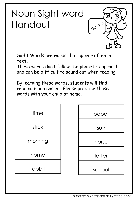

Sight Words are words that appear often in text,

These words don't follow the phonetic approach and can be difficult to sound out when reading.

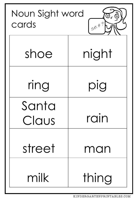| Noun Sight word<br>cards | <u>(၀)</u><br>$5e^{\chi}$ #7. |
|--------------------------|-------------------------------|
| shoe                     | night                         |
| ring                     | pig                           |
| Santa                    |                               |
| CIQUS                    |                               |
| street                   | man                           |
| milk                     | thing                         |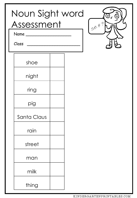| Noun Sight word<br>Assessment<br>Name<br>Class | $\copyright$<br>$\odot$<br>$50x + 7$ |
|------------------------------------------------|--------------------------------------|
| shoe                                           |                                      |
| night                                          |                                      |
| ring                                           |                                      |
| pig                                            |                                      |
| Santa Claus                                    |                                      |
| rain                                           |                                      |
| street                                         |                                      |
| man                                            |                                      |
| milk                                           |                                      |
| thing                                          |                                      |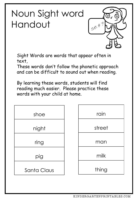

Sight Words are words that appear often in text,

These words don't follow the phonetic approach and can be difficult to sound out when reading.

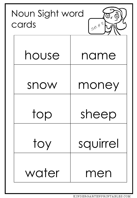| Noun Sight word<br>cards | <u>(0</u><br>$5e^{t}$ # 8, |
|--------------------------|----------------------------|
| house                    | name                       |
| snow                     | money                      |
|                          | sheep                      |
| toy                      | squirrel                   |
| water                    | men                        |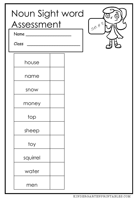| Noun Sight word<br>Assessment<br>Name_<br>Class |  | 50x481 | (၀)<br>$\left[ \circ \right]$ |
|-------------------------------------------------|--|--------|-------------------------------|
| house                                           |  |        |                               |
| name                                            |  |        |                               |
| snow                                            |  |        |                               |
| money                                           |  |        |                               |
| top                                             |  |        |                               |
| sheep                                           |  |        |                               |
| toy                                             |  |        |                               |
| squirrel                                        |  |        |                               |
| water                                           |  |        |                               |
| men                                             |  |        |                               |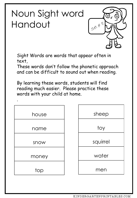

Sight Words are words that appear often in text,

These words don't follow the phonetic approach and can be difficult to sound out when reading.

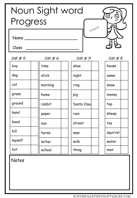| Noun Sight word<br>$\omega_{\mathcal{C}}$<br>Progress |         |             |             |  |
|-------------------------------------------------------|---------|-------------|-------------|--|
| Name<br>Class                                         |         |             | HOULD       |  |
| Set#5                                                 | Set#6   | Set#7       | $Set \# 8$  |  |
| boy                                                   | time    | shoe        | house       |  |
| dog                                                   | stick   | night       | name        |  |
| cat                                                   | morning | ring        | <b>SNOW</b> |  |
| grass                                                 | home    | pig         | money       |  |
| ground                                                | rabbit  | Santa Claus | top         |  |
| hand                                                  | paper   | rain        | sheep       |  |
| head                                                  | sun     | street      | toy         |  |
| hill                                                  | horse   | man         | squirrel    |  |
| myself                                                | letter  | milk        | water       |  |
| hot                                                   | school  | thing       | men         |  |

Notes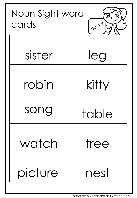| Noun Sight word<br>cards | <u>(0</u><br>$5e^{t}$ # 9 |
|--------------------------|---------------------------|
| sister                   | leg                       |
| robin                    | kitty                     |
| song                     | table                     |
| watch                    | tree                      |
| picture                  | nest                      |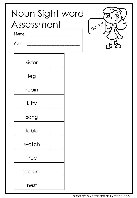| Noun Sight word<br>Assessment<br>Name<br>Class |  | $\overline{0}$<br>$\frac{1}{5}$ |
|------------------------------------------------|--|---------------------------------|
| sister                                         |  |                                 |
| leg                                            |  |                                 |
| robin                                          |  |                                 |
| kitty                                          |  |                                 |
| song                                           |  |                                 |
| table                                          |  |                                 |
| watch                                          |  |                                 |
| tree                                           |  |                                 |
| picture                                        |  |                                 |
| nest                                           |  |                                 |

KINDERGARTENPRINTABLES.COM

 $\Omega$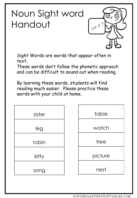

Sight Words are words that appear often in text,

These words don't follow the phonetic approach and can be difficult to sound out when reading.

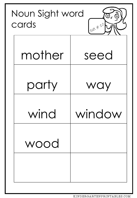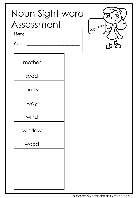| Noun Sight word<br>Assessment<br>Name<br>Class |  | $\left( 0\right)$<br>$\Omega$<br>$I_{58}$ # 10/ |
|------------------------------------------------|--|-------------------------------------------------|
| mother                                         |  |                                                 |
| seed                                           |  |                                                 |
| party                                          |  |                                                 |
| way                                            |  |                                                 |
| wind                                           |  |                                                 |
| window                                         |  |                                                 |
| wood                                           |  |                                                 |
|                                                |  |                                                 |
|                                                |  |                                                 |
|                                                |  |                                                 |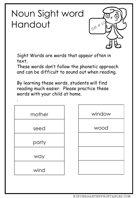

Sight Words are words that appear often in text,

These words don't follow the phonetic approach and can be difficult to sound out when reading.